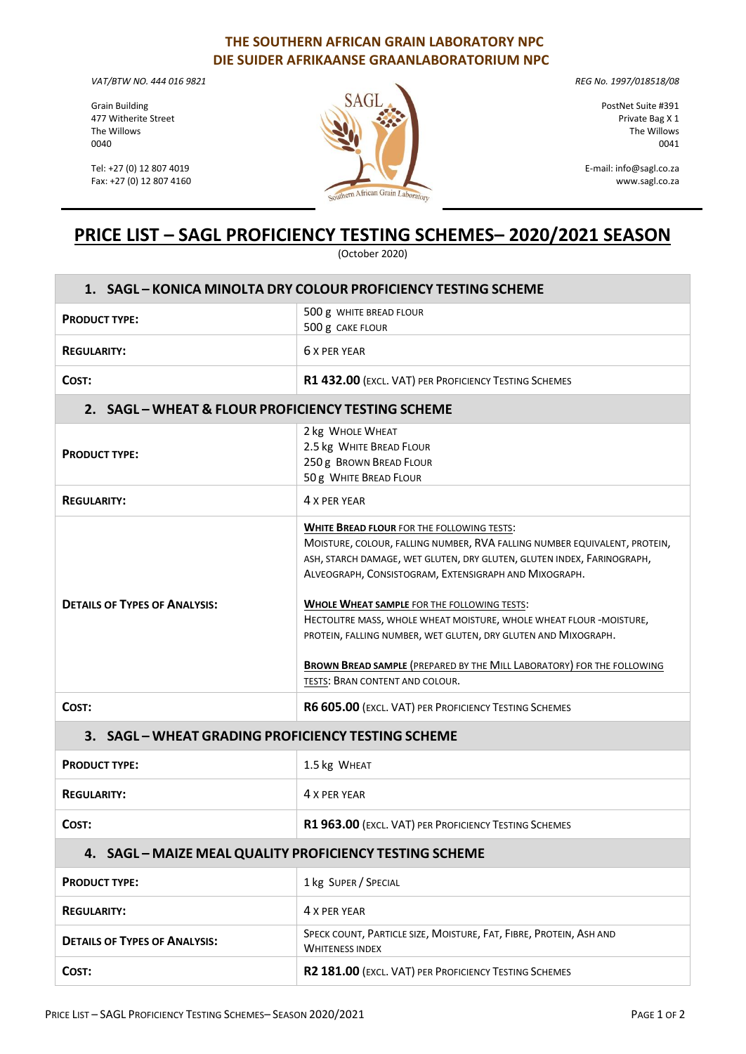## **THE SOUTHERN AFRICAN GRAIN LABORATORY NPC DIE SUIDER AFRIKAANSE GRAANLABORATORIUM NPC**

*VAT/BTW NO. 444 016 9821* 

Grain Building 477 Witherite Street The Willows 0040

Tel: +27 (0) 12 807 4019 Fax: +27 (0) 12 807 4160



*REG No. 1997/018518/08* 

PostNet Suite #391 Private Bag X 1 The Willows 0041

E-mail: info@sagl.co.za [www.sagl.co.za](http://www.sagl.co.za/)

## **PRICE LIST – SAGL PROFICIENCY TESTING SCHEMES– 2020/2021 SEASON**

(October 2020)

| 1. SAGL - KONICA MINOLTA DRY COLOUR PROFICIENCY TESTING SCHEME |                                                                                                                                                                                                                                                                                                                                                                                                                                                                                                                                                                                      |
|----------------------------------------------------------------|--------------------------------------------------------------------------------------------------------------------------------------------------------------------------------------------------------------------------------------------------------------------------------------------------------------------------------------------------------------------------------------------------------------------------------------------------------------------------------------------------------------------------------------------------------------------------------------|
| <b>PRODUCT TYPE:</b>                                           | 500 g WHITE BREAD FLOUR<br>500 g CAKE FLOUR                                                                                                                                                                                                                                                                                                                                                                                                                                                                                                                                          |
| <b>REGULARITY:</b>                                             | 6 X PFR YFAR                                                                                                                                                                                                                                                                                                                                                                                                                                                                                                                                                                         |
| COST:                                                          | R1 432.00 (EXCL. VAT) PER PROFICIENCY TESTING SCHEMES                                                                                                                                                                                                                                                                                                                                                                                                                                                                                                                                |
| 2. SAGL - WHEAT & FLOUR PROFICIENCY TESTING SCHEME             |                                                                                                                                                                                                                                                                                                                                                                                                                                                                                                                                                                                      |
| <b>PRODUCT TYPE:</b>                                           | 2 kg WHOLE WHEAT<br>2.5 kg WHITE BREAD FLOUR<br>250 g BROWN BREAD FLOUR<br>50 g WHITE BREAD FLOUR                                                                                                                                                                                                                                                                                                                                                                                                                                                                                    |
| <b>REGULARITY:</b>                                             | 4 X PER YEAR                                                                                                                                                                                                                                                                                                                                                                                                                                                                                                                                                                         |
| <b>DETAILS OF TYPES OF ANALYSIS:</b>                           | <b>WHITE BREAD FLOUR FOR THE FOLLOWING TESTS:</b><br>MOISTURE, COLOUR, FALLING NUMBER, RVA FALLING NUMBER EQUIVALENT, PROTEIN,<br>ASH, STARCH DAMAGE, WET GLUTEN, DRY GLUTEN, GLUTEN INDEX, FARINOGRAPH,<br>ALVEOGRAPH, CONSISTOGRAM, EXTENSIGRAPH AND MIXOGRAPH.<br><b>WHOLE WHEAT SAMPLE FOR THE FOLLOWING TESTS:</b><br>HECTOLITRE MASS, WHOLE WHEAT MOISTURE, WHOLE WHEAT FLOUR -MOISTURE,<br>PROTEIN, FALLING NUMBER, WET GLUTEN, DRY GLUTEN AND MIXOGRAPH.<br><b>BROWN BREAD SAMPLE (PREPARED BY THE MILL LABORATORY) FOR THE FOLLOWING</b><br>TESTS: BRAN CONTENT AND COLOUR. |
| COST:                                                          | R6 605.00 (EXCL. VAT) PER PROFICIENCY TESTING SCHEMES                                                                                                                                                                                                                                                                                                                                                                                                                                                                                                                                |
| 3. SAGL - WHEAT GRADING PROFICIENCY TESTING SCHEME             |                                                                                                                                                                                                                                                                                                                                                                                                                                                                                                                                                                                      |
| <b>PRODUCT TYPE:</b>                                           | 1.5 kg WHEAT                                                                                                                                                                                                                                                                                                                                                                                                                                                                                                                                                                         |
| <b>REGULARITY:</b>                                             | 4 X PER YEAR                                                                                                                                                                                                                                                                                                                                                                                                                                                                                                                                                                         |
| COST:                                                          | R1 963.00 (EXCL. VAT) PER PROFICIENCY TESTING SCHEMES                                                                                                                                                                                                                                                                                                                                                                                                                                                                                                                                |
| 4. SAGL - MAIZE MEAL QUALITY PROFICIENCY TESTING SCHEME        |                                                                                                                                                                                                                                                                                                                                                                                                                                                                                                                                                                                      |
| <b>PRODUCT TYPE:</b>                                           | 1 kg SUPER / SPECIAL                                                                                                                                                                                                                                                                                                                                                                                                                                                                                                                                                                 |
| <b>REGULARITY:</b>                                             | 4 X PER YEAR                                                                                                                                                                                                                                                                                                                                                                                                                                                                                                                                                                         |
| <b>DETAILS OF TYPES OF ANALYSIS:</b>                           | SPECK COUNT, PARTICLE SIZE, MOISTURE, FAT, FIBRE, PROTEIN, ASH AND<br><b>WHITENESS INDEX</b>                                                                                                                                                                                                                                                                                                                                                                                                                                                                                         |
| COST:                                                          | R2 181.00 (EXCL. VAT) PER PROFICIENCY TESTING SCHEMES                                                                                                                                                                                                                                                                                                                                                                                                                                                                                                                                |